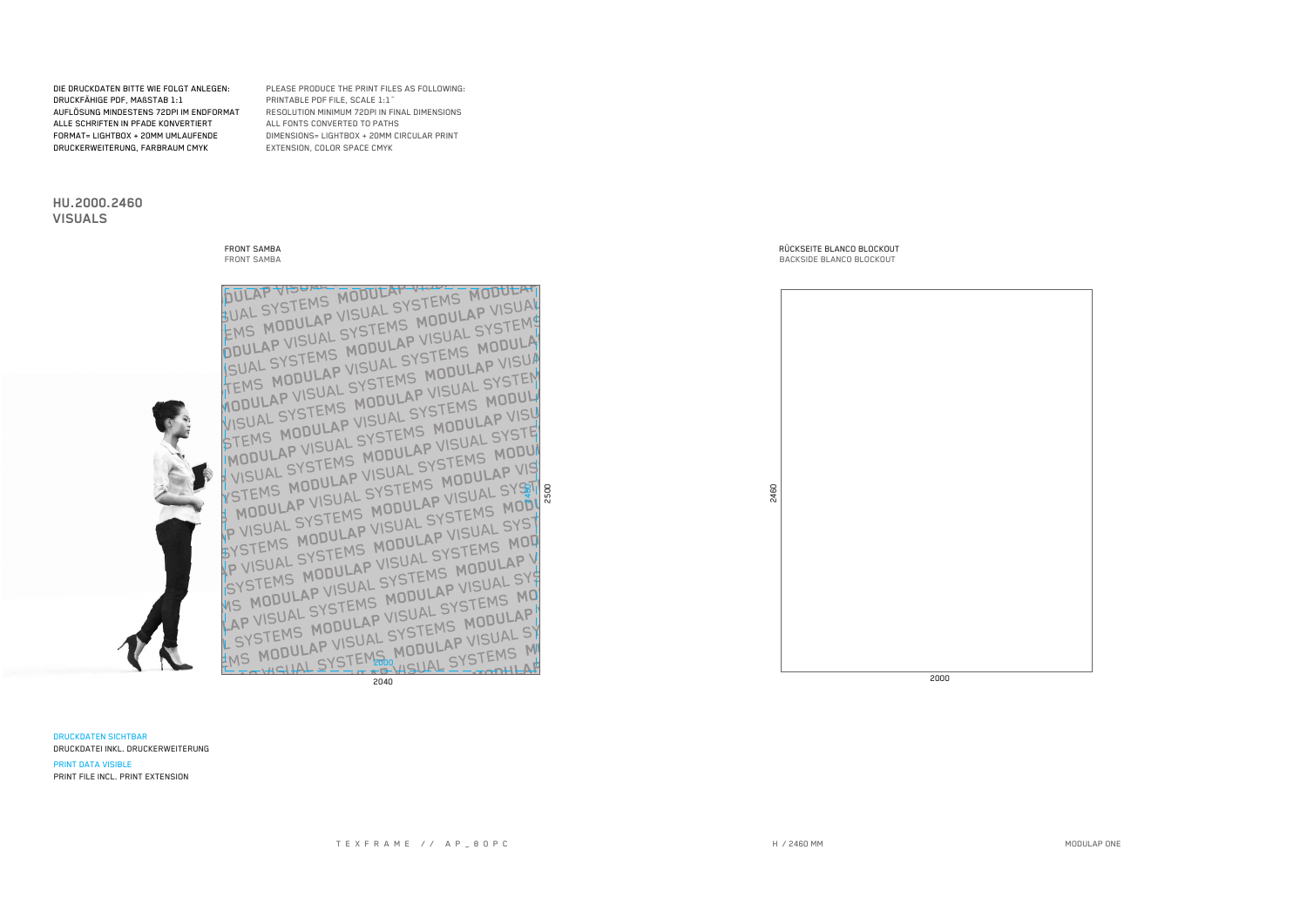**DRUCKDATEN SICHTBAR** DRUCKDATEI INKL. DRUCKERWEITERUNG



SUAL SYSTEMS MODULAP VIOLE EMS MODULAP VISUAL SYSTEMS MODULAT ODULAP VISUAL SYSTEMS MODULAP VISUAL ISUAL SYSTEMS MODULAP VISUAL SYSTEMS TEMS MODULAP VISUAL SYSTEMS MODULA WODULAP VISUAL SYSTEMS MODULAP VISUA VISUAL SYSTEMS MODULAP VISUAL SYSTEM STEMS MODULAP VISUAL SYSTEMS MODUL MODULAP VISUAL SYSTEMS MODULAP VISY VISUAL SYSTEMS MODULAP VISUAL SYSTEM YSTEMS MODULAP VISUAL SYSTEMS MODUL MODULAP VISUAL SYSTEMS MODULAP VIS P MUDULAT VISUAL SIGNAP VISUAL SYST SYSTEMS MODULAP VISUAL SYSTEMS MODE P VISUAL SYSTEMS MODULAP VISUAL SYST SYSTEMS MODULAP VISUAL SYSTEMS MOD WS MODULAP VISUAL SYSTEMS MODULAP V LAP VISUAL SYSTEMS MODULAP VISUAL SYS SYSTEMS MODULAP VISUAL SYSTEMS MO EMS MODULAP VISUAL SYSTEMS MODULAP HISITAL SYSTEMS MODULAP VISUAL ST FOOD HISUAL SYSTEMS M

2040

RÜCKSEITE BLANCO BLOCKOUT **BACKSIDE BLANCO BLOCKOUT** 

2000

DIE DRUCKDATEN BITTE WIE FOLGT ANLEGEN: DRUCKFÄHIGE PDF, MAßSTAB 1:1 AUFLÖSUNG MINDESTENS 72DPI IM ENDFORMAT ALLE SCHRIFTEN IN PFADE KONVERTIERT FORMAT= LIGHTBOX + 20MM UMLAUFENDE DRUCKERWEITERUNG, FARBRAUM CMYK

**FRONT SAMBA** 

**FRONT SAMBA** 

HU.2000.2460

**VISUALS** 

PLEASE PRODUCE THE PRINT FILES AS FOLLOWING: PRINTABLE PDF FILE, SCALE 1:1 RESOLUTION MINIMUM 72DPI IN FINAL DIMENSIONS ALL FONTS CONVERTED TO PATHS DIMENSIONS= LIGHTBOX + 20MM CIRCULAR PRINT EXTENSION, COLOR SPACE CMYK

H / 2460 MM

2460